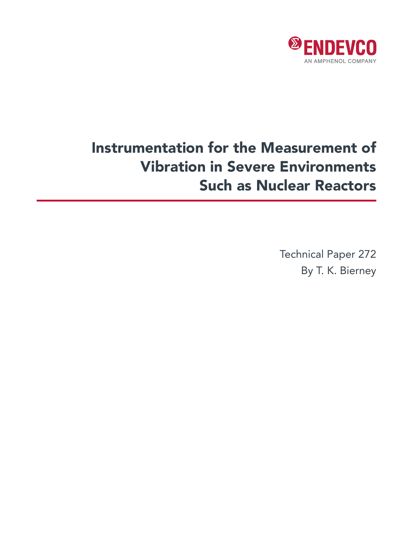

# Instrumentation for the Measurement of Vibration in Severe Environments Such as Nuclear Reactors

Technical Paper 272 By T. K. Bierney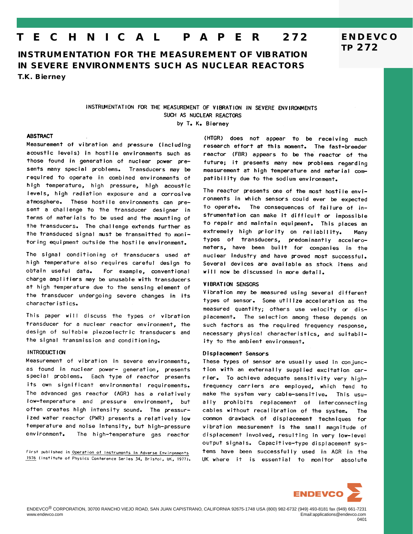#### ECHNICAL PAPER T 272

**INSTRUMENTATION FOR THE MEASUREMENT OF VIBRATION** IN SEVERE ENVIRONMENTS SUCH AS NUCLEAR REACTORS T.K. Bierney

> INSTRUMENTATION FOR THE MEASUREMENT OF VIBRATION IN SEVERE ENVIRONMENTS SUCH AS NUCLEAR REACTORS

> > by T. K. Bierney

#### **ABSTRACT**

Measurement of vibration and pressure (including acoustic levels) in hostile environments such as those found in generation of nuclear power presents many special problems. Transducers may be required to operate in combined environments of high temperature, high pressure, high acoustic levels, high radiation exposure and a corrosive atmosphere. These hostile environments can present a challenge to the transducer designer in terms of materials to be used and the mounting of the transducers. The challenge extends further as the transduced signal must be transmitted to monitoring equipment outside the hostile environment.

The signal conditioning of transducers used at high temperature also requires careful design to For example, conventional obtain useful data. charge amplifiers may be unusable with transducers at high temperature due to the sensing element of the transducer undergoing severe changes in its characteristics.

This paper will discuss the types of vibration transducer for a nuclear reactor environment, the design of suitable piezoelectric transducers and the signal transmission and conditioning.

#### **INTRODUCTION**

Measurement of vibration in severe environments, as found in nuclear power- generation, presents special problems. Each type of reactor presents its own significant environmental requirements. The advanced gas reactor (AGR) has a relatively low-temperature and pressure environment, but often creates high intensity sound. The pressurized water reactor (PWR) presents a relatively low temperature and noise intensity, but high-pressure environment. The high-temperature gas reactor

First published in Operation of Instruments in Adverse Environments 1976 (Institute of Physics Conference Series 34, Bristol, UK, 1977).

(HTGR) does not appear to be receiving much research effort at this moment. The fast-breeder reactor (FBR) appears to be the reactor of the future; it presents many new problems regarding measurement at high temperature and material compatibility due to the sodium environment.

The reactor presents one of the most hostile environments in which sensors could ever be expected to operate. The consequences of failure of instrumentation can make it difficult or impossible to repair and maintain equipment. This places an extremely high priority on reliability. Many types of transducers, predominantly accelerometers, have been built for companies in the nuclear industry and have proved most successful. Several devices are available as stock items and will now be discussed in more detail.

#### VIBRATION SENSORS

Vibration may be measured using several different types of sensor. Some utilize acceleration as the measured quantity; others use velocity or displacement. The selection among these depends on such factors as the required frequency response, necessary physical characteristics, and suitability to the ambient environment.

#### Displacement Sensors

These types of sensor are usually used in conjunction with an externally supplied excitation carrier. To achieve adequate sensitivity very highfrequency carriers are employed, which tend to make the system very cable-sensitive. This usually prohibits replacement of interconnecting cables without recalibration of the system. The common drawback of displacement techniques for vibration measurement is the small magnitude of displacement involved, resulting in very low-level output signals. Capacitive-type displacement systems have been successfully used in AGR in the UK where it is essential to monitor absolute



**ENDEVCO** 

**TP 272**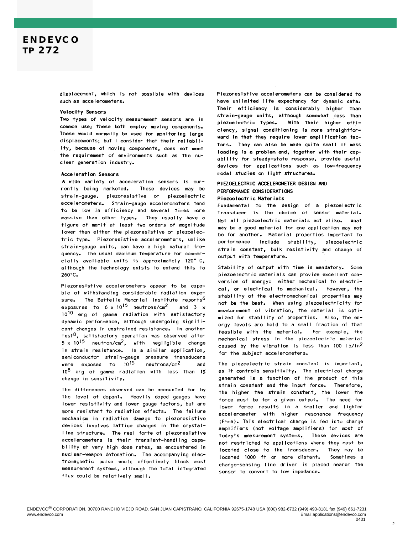displacement, which is not possible with devices such as accelerometers.

#### Velocity Sensors

Two types of velocity measurement sensors are in common use; these both employ moving components. These would normally be used for monitoring large displacements; but I consider that their reliability, because of moving components, does not meet the requirement of environments such as the nuclear generation industry.

#### Acceleration Sensors

A wide variety of acceleration sensors is cur-These devices may be rently being marketed. strain-gauge, piezoresistive or piezoelectric accelerometers. Strain-gauge accelerometers tend to be low in efficiency and several times more massive than other types. They usually have a figure of merit at least two orders of magnitude lower than either the piezoresistive or piezoelectric type. Piezoresistive accelerometers, unlike strain-gauge units, can have a high natural frequency. The usual maximum temperature for commercially available units is approximately 120° C, although the technology exists to extend this to  $260^{\circ}$ C.

Piezoresistive accelerometers appear to be capable of withstanding considerable radiation exposure. The Battelle Memorial Institute reports<sup>6</sup> exposures to  $6 \times 10^{15}$  neutrons/cm<sup>2</sup> and  $3 \times$ 10<sup>10</sup> erg of gamma radiation with satisfactory dynamic performance, although undergoing significant changes in unstrained resistance. In another  $test^8$ , satisfactory operation was observed after  $5 \times 10^{15}$  neutron/cm<sup>2</sup>, with negligible change in strain resistance. In a similar application, semiconductor strain-gauge pressure transducers were exposed to  $10^{15}$ neutrons/cm<sup>2</sup> and  $10^8$  erg of gamma radiation with less than 1% change in sensitivity.

The differences observed can be accounted for by the level of dopant. Heavily doped gauges have lower resistivity and lower gauge factors, but are more resistant to radiation effects. The failure mechanism in radiation damage to piezoresistive devices involves lattice changes in the crystalline structure. The real forte of piezoresistive accelerometers is their transient-handling capability at very high dose rates, as encountered in nuclear-weapon detonation. The accompanying electromagnetic pulse would effectively block most measurement systems, although the total integrated flux could be relatively small.

Piezoresistive accelerometers can be considered to have unlimited life expectancy for dynamic data. Their efficiency is considerably higher than strain-gauge units, although somewhat less than piezoelectric types. With their higher efficiency, signal conditioning is more straightforward in that they require lower amplification factors. They can also be made quite small if mass loading is a problem and, together with their capability for steady-state response, provide useful devices for applications such as low-frequency modal studies on light structures.

#### PIEZOELECTRIC ACCELEROMETER DESIGN AND PERFORMANCE CONSIDERATIONS Piezoelectric Materials

Fundamental to the design of a piezoelectric transducer is the choice of sensor material. Not all piezoelectric materials act alike. What may be a good material for one application may not be for another. Material properties important to performance include stability, piezoelectric strain constant, bulk resistivity and change of output with temperature.

Stability of output with time is mandatory. Some piezoelectric materials can provide excellent conversion of energy: either mechanical to electrical, or electrical to mechanical. However, the stability of the electromechanical properties may not be the best. When using piezoelectricity for measurement of vibration, the material is optimized for stability of properties. Also, the energy levels are held to a small fraction of that For example, the feasible with the material. mechanical stress in the piezoelectric material caused by the vibration is less than 100 lb/in<sup>2</sup> for the subject accelerometers.

The piezoelectric strain constant is important, as it controls sensitivity. The electrical charge generated is a function of the product of this strain constant and the input force. Therefore, the higher the strain constant, the lower the force must be for a given output. The need for lower force results in a smaller and lighter accelerometer with higher resonance frequency (F=ma). This electrical charge is fed into charge amplifiers (not voltage amplifiers) for most of today's measurement systems. These devices are not restricted to applications where they must be located close to the transducer. They may be located 1000 ft or more distant. Sometimes a charge-sensing line driver is placed nearer the sensor to convert to low impedance.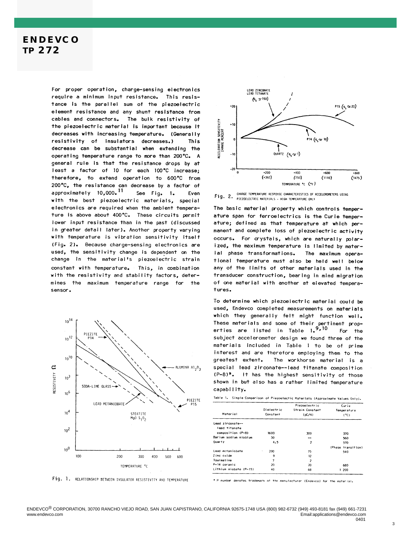> For proper operation, charge-sensing electronics require a minimum input resistance. This resistance is the parallel sum of the piezoelectric element resistance and any shunt resistance from cables and connectors. The bulk resistivity of the piezoelectric material is important because it decreases with increasing temperature. (Generally resistivity of insulators decreases.) This decrease can be substantial when extending the operating temperature range to more than 200°C. A general rule is that the resistance drops by at least a factor of 10 for each 100°C increase; therefore, to extend operation to 600°C from 200°C, the resistance can decrease by a factor of approximately 10,000.<sup>11</sup> See Fig. 1. Even with the best piezoelectric materials, special electronics are required when the ambient temperature is above about 400°C. These circuits permit lower input resistance than in the past (discussed in greater detail later). Another property varying with temperature is vibration sensitivity itself (Fig. 2). Because charge-sensing electronics are used, the sensitivity change is dependent on the change in the material's piezoelectric strain constant with temperature. This, in combination with the resistivity and stability factors, determines the maximum temperature range for the sensor.



Fig. 1. RELATIONSHIP BETWEEN INSULATOR RESISTIVITY AND TEMPERATURE



CHARGE TEMPERATURE RESPONSE CHARACTERISTICS OF ACCELEROMETERS USING Fig. 2. PIEZOELECTRIC MATERIALS - HIGH TEMPERATURE ONLY

The basic material property which controls temperature span for ferroelectrics is the Curie temperature; defined as that temperature at which permanent and complete loss of piezoelectric activity occurs. For crystals, which are naturally polarized, the maximum temperature is limited by material phase transformations. The maximum operational temperature must also be held well below any of the limits of other materials used in the transducer construction, bearing in mind migration of one material with another at elevated temperatures.

To determine which piezoelectric material could be used, Endevco completed measurements on materials which they generally felt might function well. These materials and some of their pertinent properties are listed in Table  $1.9,10$ For the subject accelerometer design we found three of the materials included in Table 1 to be of prime interest and are therefore employing them to the The workhorse material is a greatest extent. special lead zirconate--lead titanate composition  $(P-8)*$ . It has the highest sensitivity of those shown in but also has a rather limited temperature capability.

| Material               | Dielectric<br>Constant | Piezoelectric<br><b>Strain Constant</b><br>(DC/N) | Curie<br>Temperature<br>(°C) |                    |
|------------------------|------------------------|---------------------------------------------------|------------------------------|--------------------|
| Lead zirconate --      |                        |                                                   |                              |                    |
| lead titanate          |                        |                                                   |                              |                    |
| composition (P-8)      | 1600                   | 300                                               |                              | 370                |
| Barium sodium niobium  | 30                     | --                                                |                              | 560                |
| Ouar <sub>tz</sub>     | 4.5                    | $\overline{c}$                                    |                              | 570                |
|                        |                        |                                                   |                              | (Phase transition) |
| Lead metaniobate       | 200                    | 75                                                |                              | 540                |
| Zinc oxide             | 9                      | 12                                                |                              |                    |
| Tourmaline             | 7                      | $\overline{\mathbf{z}}$                           |                              |                    |
| P-14 ceramic           | 20                     | 20                                                |                              | 680                |
| Lithium niobate (P-15) | 40                     | 68                                                | ,                            | 200                |

\* P number denotes trademark of the manufacturer (Endevco) for the material.

 $\overline{3}$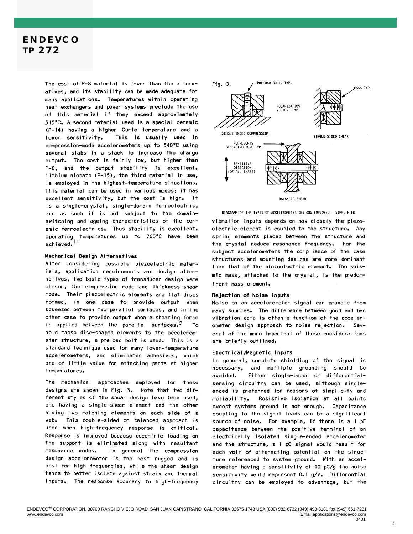The cost of P-8 material is lower than the alternatives, and its stability can be made adequate for many applications. Temperatures within operating heat exchangers and power systems preclude the use of this material if they exceed approximately 315°C. A second material used is a special ceramic (P-14) having a higher Curie temperature and a lower sensitivity. This is usually used in compression-mode accelerometers up to 540°C using several slabs in a stack to increase the charge output. The cost is fairly low, but higher than P-8, and the output stability is excellent. Lithium niobate (P-15), the third material in use, is employed in the highest-temperature situations. This material can be used in various modes; it has excellent sensitivity, but the cost is high. It is a single-crystal, single-domain ferroelectric, and as such it is not subject to the domainswitching and ageing characteristics of the ceramic ferroelectrics. Thus stability is excellent. Operating temperatures up to 760°C have been achieved.<sup>11</sup>

#### Mechanical Design Alternatives

After considering possible piezoelectric materials, application requirements and design alternatives, two basic types of transducer design were chosen, the compression mode and thickness-shear mode. Their piezoelectric elements are flat discs formed, in one case to provide output when squeezed between two parallel surfaces, and in the other case to provide output when a shearing force is applied between the parallel surfaces.<sup>2</sup> To hold these disc-shaped elements to the accelerometer structure, a preload bolt is used. This is a standard technique used for many lower-temperature accelerometers, and eliminates adhesives, which are of little value for attaching parts at higher temperatures.

The mechanical approaches employed for these designs are shown in Fig. 3. Note that two different styles of the shear design have been used, one having a single-shear element and the other having two matching elements on each side of a web. This double-sided or balanced approach is used when high-frequency response is critical. Response is improved because eccentric loading on the support is eliminated along with resultant In general the compression resonance modes. design accelerometer is the most rugged and is best for high frequencies, while the shear design tends to better isolate against strain and thermal inputs. The response accuracy to high-frequency



DIAGRAMS OF THE TYPES OF ACCELEROMETER DESIGNS EMPLOYED - SIMPLIFIED

vibration inputs depends on how closely the piezoelectric element is coupled to the structure. Any spring elements placed between the structure and the crystal reduce resonance frequency. For the subject accelerometers the compliance of the case structures and mounting designs are more dominant than that of the piezoelectric element. The seismic mass, attached to the crystal, is the predominant mass element.

#### Rejection of Noise Inputs

Noise on an accelerometer signal can emanate from many sources. The difference between good and bad vibration data is often a function of the accelerometer design approach to noise rejection. Several of the more important of these considerations are briefly outlined.

#### Electrical/Magnetic Inputs

In general, complete shielding of the signal is necessary, and multiple grounding should be Either single-ended or differentialavoided. sensing circuitry can be used, although singleended is preferred for reasons of simplicity and reliability. Resistive isolation at all points except systems ground is not enough. Capacitance coupling to the signal leads can be a significant source of noise. For example, if there is a 1 pF capacitance between the positive terminal of an electrically isolated single-ended accelerometer and the structure, a 1 pC signal would result for each volt of alternating potential on the structure referenced to system ground. With an accelerometer having a sensitivity of 10 pC/g the noise sensitivity would represent 0.1 g/V. Differential circuitry can be employed to advantage, but the

 $\overline{A}$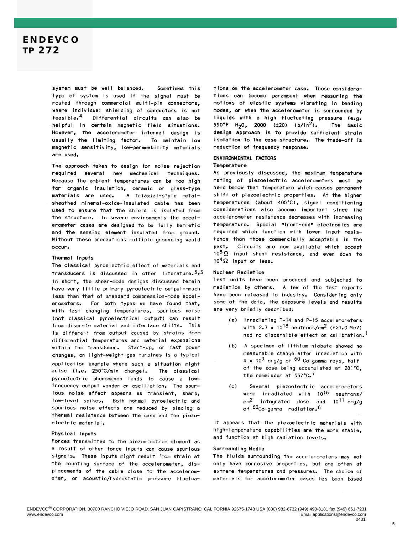system must be well balanced. Sometimes this type of system is used if the signal must be routed through commercial multi-pin connectors, where individual shielding of conductors is not  $f$ easible. $4$ Differential circuits can also be helpful in certain magnetic field situations. However, the accelerometer internal design is usually the limiting factor. To maintain low magnetic sensitivity, low-permeability materials are used.

The approach taken to design for noise rejection required several new mechanical techniques. Because the ambient temperatures can be too high for organic insulation, ceramic or glass-type materials are used. A triaxial-style metalsheathed mineral-oxide-insulated cable has been used to ensure that the shield is isolated from the structure. In severe environments the accelerometer cases are designed to be fully hermetic and the sensing element insulated from ground. Without these precautions multiple grounding would occur.

#### Thermal Inputs

The classical pyroelectric effect of materials and transducers is discussed in other literature.<sup>5,3</sup> In short, the shear-mode designs discussed herein have very little primary pyroelectric output--much less than that of standard compression-mode accelerometers. For both types we have found that, with fast changing temperatures, spurious noise (not classical pyroelectrical output) can result from discrete material and interface shifts. This is different from output caused by strains from differential temperatures and material expansions within the transducer. Start-up, or fast power changes, on light-weight gas turbines is a typical application example where such a situation might arise (i.e. 250°C/min change). The classical pyroelectric phenomenon tends to cause a lowfrequency output wander or oscillation. The spurious noise effect appears as transient, sharp, low-level spikes. Both normal pyroelectric and spurious noise effects are reduced by placing a thermal resistance between the case and the piezoelectric material.

#### Physical Inputs

Forces transmitted to the piezoelectric element as a result of other force inputs can cause spurious signals. These inputs might result from strain at the mounting surface of the accelerometer, displacements of the cable close to the accelerometer, or acoustic/hydrostatic pressure fluctuations on the accelerometer case. These considerations can become paramount when measuring the motions of elastic systems vibrating in bending modes, or when the accelerometer is surrounded by liquids with a high fluctuating pressure (e.g. 550°F H<sub>2</sub>0, 2000 (±20) lb/in<sup>2</sup>). The basic design approach is to provide sufficient strain isolation to the case structure. The trade-off is reduction of frequency response.

#### **ENVIRONMENTAL FACTORS**

#### Temperature

As previously discussed, the maximum temperature rating of piezoelectric accelerometers must be held below that temperature which causes permanent shift of piezoelectric properties. At the higher temperatures (about 400°C), signal conditioning considerations also become important since the accelerometer resistance decreases with increasing temperature. Special "front-end" electronics are required which function with lower input resistance than those commercially acceptable in the past. Circuits are now available which accept  $10^5 \Omega$  input shunt resistance, and even down to  $10^4 \Omega$  input or less.

#### Nuclear Radiation

Test units have been produced and subjected to radiation by others. A few of the test reports have been released to industry. Considering only some of the data, the exposure levels and results are very briefly described:

- (a) Irradiating P-14 and P-15 accelerometers with  $2.7 \times 10^{18}$  neutrons/cm<sup>2</sup> (E>1.0 MeV) had no discernible effect on calibration.<sup>1</sup>
- (b) A specimen of lithium niobate showed no measurable change after irradiation with  $4 \times 10^9$  erg/g of  $^{60}$  Co-gamma rays, half of the dose being accumulated at 281°C, the remainder at  $537^{\circ}$ C.<sup>7</sup>
- $(c)$ Several piezoelectric accelerometers were irradiated with 10<sup>16</sup> neutrons/  $cm<sup>2</sup>$  integrated dose and  $10<sup>11</sup>$  erg/g of 60<sub>Co-gamma</sub> radiation.<sup>6</sup>

It appears that the piezoelectric materials with high-temperature capabilities are the more stable, and function at high radiation levels.

#### Surrounding Media

The fluids surrounding the accelerometers may not only have corrosive properties, but are often at extreme temperatures and pressures. The choice of materials for accelerometer cases has been based

5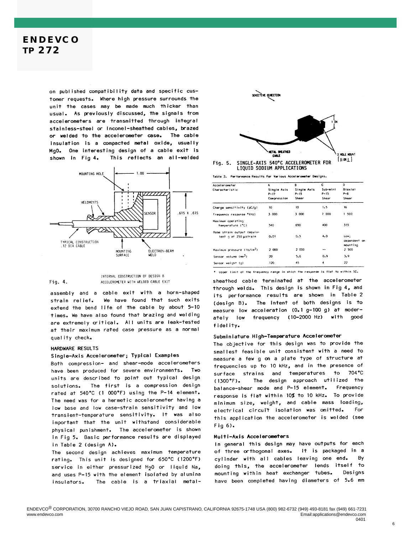> on published compatibility data and specific customer requests. Where high pressure surrounds the unit the cases may be made much thicker than usual. As previously discussed, the signals from accelerometers are transmitted through integral stainless-steel or Inconel-sheathed cables, brazed or welded to the accelerometer case. The cable insulation is a compacted metal oxide, usually Mg0. One interesting design of a cable exit is This reflects an all-welded shown in Fig 4.





assembly and a cable exit with a horn-shaped We have found that such exits strain relief. extend the bend life of the cable by about 5-10 times. We have also found that brazing and welding are extremely critical. All units are leak-tested at their maximum rated case pressure as a normal quality check.

#### HARDWARE RESULTS

#### Single-Axis Accelerometer; Typical Examples

Both compression- and shear-mode accelerometers have been produced for severe environments. Two units are described to point out typical design solutions. The first is a compression design rated at 540°C (1 000°F) using the P-14 element. The need was for a hermetic accelerometer having a low base and low case-strain sensitivity and low transient-temperature sensitivity. It was also important that the unit withstand considerable physical punishment. The accelerometer is shown in Fig 5. Basic performance results are displayed in Table 2 (design A).

The second design achieves maximum temperature rating. This unit is designed for 650°C (1200°F) service in either pressurized H<sub>2</sub>0 or liquid Na, and uses P-15 with the element isolated by alumina insulators. The cable is a triaxial metal-





Table 2. Performance Results for Various Accelerometer Designs.

| Accelerometer<br>Characteristic                     | ٨<br>Single Axis<br>$P-17$<br>Compression | в<br>Single Axis<br>$P - 15$<br>Shear | c<br>Sub-mini<br>$P - 15$<br>Shear | D<br>Biaxial<br>$P - B$<br>Shear          |
|-----------------------------------------------------|-------------------------------------------|---------------------------------------|------------------------------------|-------------------------------------------|
| Charge sensitivity (pC/g)                           | 10                                        | 10                                    | 1.5                                | 16                                        |
| Frequency response *(Hz)                            | 3 000                                     | 3 000                                 | 7 000                              | 1 500                                     |
| Maximum operating<br>temperature (°C)               | 540                                       | 650                                   | 400                                | 315                                       |
| Base strain output (equiv-<br>tent q at 250 µstrain | 0.01                                      | 0.5<br>2 000                          | 4.0<br>--                          | Low;<br>dependent on<br>mounting<br>2 500 |
| Maximum pressure (lb/in <sup>2</sup> )              | 2 000                                     |                                       |                                    |                                           |
| Sensor volume (mm <sup>3</sup> )                    | 20                                        | 5.6                                   | $0 - 9$                            | 3.9                                       |
| Sensor weight (g)                                   | 120                                       | 45                                    | 4                                  | 22                                        |
|                                                     |                                           |                                       |                                    |                                           |

\* Upper limit of the frequency range in which the response is flat to within 5%.

sheathed cable terminated at the accelerometer through welds. This design is shown in Fig 4, and its performance results are shown in Table 2 The intent of both designs is to  $(design B)$ . measure low acceleration (0.1 g-100 g) at moderately low frequency (10-2000 Hz) with good fidelity.

#### Subminiature High-Temperature Accelerometer

The objective for this design was to provide the smallest feasible unit consistent with a need to measure a few g on a plate type of structure at frequencies up to 10 kHz, and in the presence of surface strains and temperatures to 704°C  $(1300°F)$ . The design approach utilized the balance-shear mode and P-15 element. Frequency response is flat within 10% to 10 kHz. To provide minimum size, weight, and cable mass loading, electrical circuit isolation was omitted. For this application the accelerometer is welded (see Fig  $6$ ).

#### Multi-Axis Accelerometers

In general this design may have outputs for each of three orthogonal axes. It is packaged in a cylinder with all cables leaving one end. By doing this, the accelerometer lends itself to mounting within heat exchanger tubes. Designs have been completed having diameters of 5.6 mm

 $6\phantom{a}$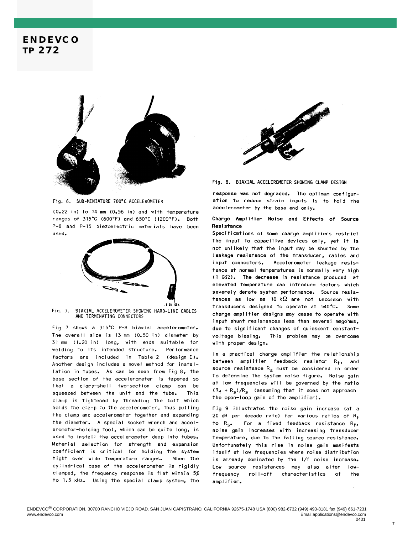

Fig. 6. SUB-MINIATURE 700°C ACCELEROMETER

(0.22 in) to 14 mm (0.56 in) and with temperature ranges of 315°C (600°F) and 650°C (1200°F). Both P-8 and P-15 piezoelectric materials have been used.



Fig. 7. BIAXIAL ACCELEROMETER SHOWING HARD-LINE CABLES AND TERMINATING CONNECTORS

Fig 7 shows a 315°C P-8 biaxial accelerometer. The overall size is 13 mm (0.50 in) diameter by 31 mm (1.20 in) long, with ends suitable for welding to its intended structure. Performance factors are included in Table 2 (design D). Another design includes a novel method for installation in tubes. As can be seen from Fig 8, the base section of the accelerometer is tapered so that a clamp-shell two-section clamp can be squeezed between the unit and the tube. This clamp is tightened by threading the bolt which holds the clamp to the accelerometer, thus pulling the clamp and accelerometer together and expanding the diameter. A special socket wrench and accelerometer-holding tool, which can be quite long, is used to install the accelerometer deep into tubes. Material selection for strength and expansion coefficient is critical for holding the system tight over wide temperature ranges. When the cylindrical case of the accelerometer is rigidly clamped, the frequency response is flat within 5% to 1.5 kHz. Using the special clamp system, the



Fig. 8. BIAXIAL ACCELEROMETER SHOWING CLAMP DESIGN

response was not degraded. The optimum configuration to reduce strain inputs is to hold the accelerometer by the base end only.

#### Charge Amplifier Noise and Effects of Source Resistance

Specifications of some charge amplifiers restrict the input to capacitive devices only, yet it is not unlikely that the input may be shunted by the leakage resistance of the transducer, cables and input connectors. Accelerometer leakage resistance at normal temperatures is normally very high  $(1 G\Omega)$ . The decrease in resistance produced at elevated temperature can introduce factors which severely derate system performance. Source resistances as low as 10 k $\Omega$  are not uncommon with transducers designed to operate at 540°C. Some charge amplifier designs may cease to operate with input shunt resistances less than several megohms, due to significant changes of quiescent constantvoltage biasing. This problem may be overcome with proper design.

In a practical charge amplifier the relationship between amplifier feedback resistor  $R_f$ , and source resistance R<sub>c</sub> must be considered in order to determine the system noise figure. Noise gain at low frequencies will be governed by the ratio  $(R_f + R_s)/R_s$  (assuming that it does not approach the open-loop gain of the amplifier).

Fig 9 illustrates the noise gain increase (at a 20 dB per decade rate) for various ratios of  $R_f$ to  $R_{S^*}$  For a fixed feedback resistance  $R_f$ , noise gain increases with increasing transducer temperature, due to the falling source resistance. Unfortunately this rise in noise gain manifests itself at low frequencies where noise distribution is already dominated by the 1/f noise increase. Low source resistances may also alter lowfrequency roll-off characteristics of the amplifier.

 $\overline{7}$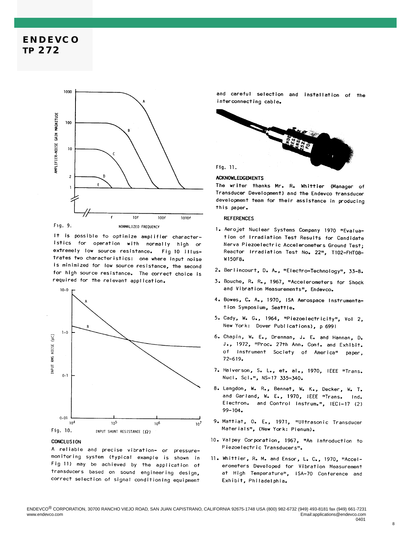

Fig. 9.

It is possible to optimize amplifier characteristics for operation with normally high or extremely low source resistance. Fig 10 illustrates two characteristics: one where input noise is minimized for low source resistance, the second for high source resistance. The correct choice is required for the relevant application.



#### **CONCLUSION**

A reliable and precise vibration- or pressuremonitoring system (typical example is shown in Fig 11) may be achieved by the application of transducers based on sound engineering design, correct selection of signal conditioning equipment

and careful selection and installation of the interconnecting cable.



#### **ACKNOWLEDGEMENTS**

The writer thanks Mr. R. Whittier (Manager of Transducer Development) and the Endevco transducer development team for their assistance in producing this paper.

### **REFERENCES**

- 1. Aerojet Nuclear Systems Company 1970 "Evaluation of Irradiation Test Results for Candidate Nerva Piezoelectric Accelerometers Ground Test; Reactor Irradiation Test No. 22", T102-FHT08-W150F8.
- 2. Berlincourt, D. A., "Electro-Technology", 33-8.
- 3. Bouche, R. R., 1967, "Accelerometers for Shock and Vibration Measurements", Endevco.
- 4. Bowes, C. A., 1970, ISA Aerospace Instrumentation Symposium, Seattle.
- 5. Cady, W. G., 1964, "Piezoelectricity", Vol 2, New York: Dover Publications), p 6991
- 6. Chapin, W. E., Drennan, J. E. and Hannan, D. J., 1972, "Proc. 27th Ann. Conf. and Exhibit. of Instrument Society of America" paper,  $72 - 619.$
- 7. Halverson, S. L., et. al., 1970, IEEE "Trans. Nucl. Sci.", NS-17 335-340.
- 8. Langdon, W. R., Bennet, W. K., Decker, W. T. and Garland, W. E., 1970, IEEE "Trans. Ind. Electron. and Control Instrum.", IECI-17 (2)  $99 - 104.$
- 9. Mattiat, O. E., 1971, "Ultrasonic Transducer Materials", (New York: Plenum).
- 10. Valpey Corporation, 1967, "An Introduction to Piezoelectric Transducers".
- ll. Whittier, R. M. and Ensor, L. C., 1970, "Accelerometers Developed for Vibration Measurement at High Temperature", ISA-70 Conference and Exhibit, Philadelphia.

8